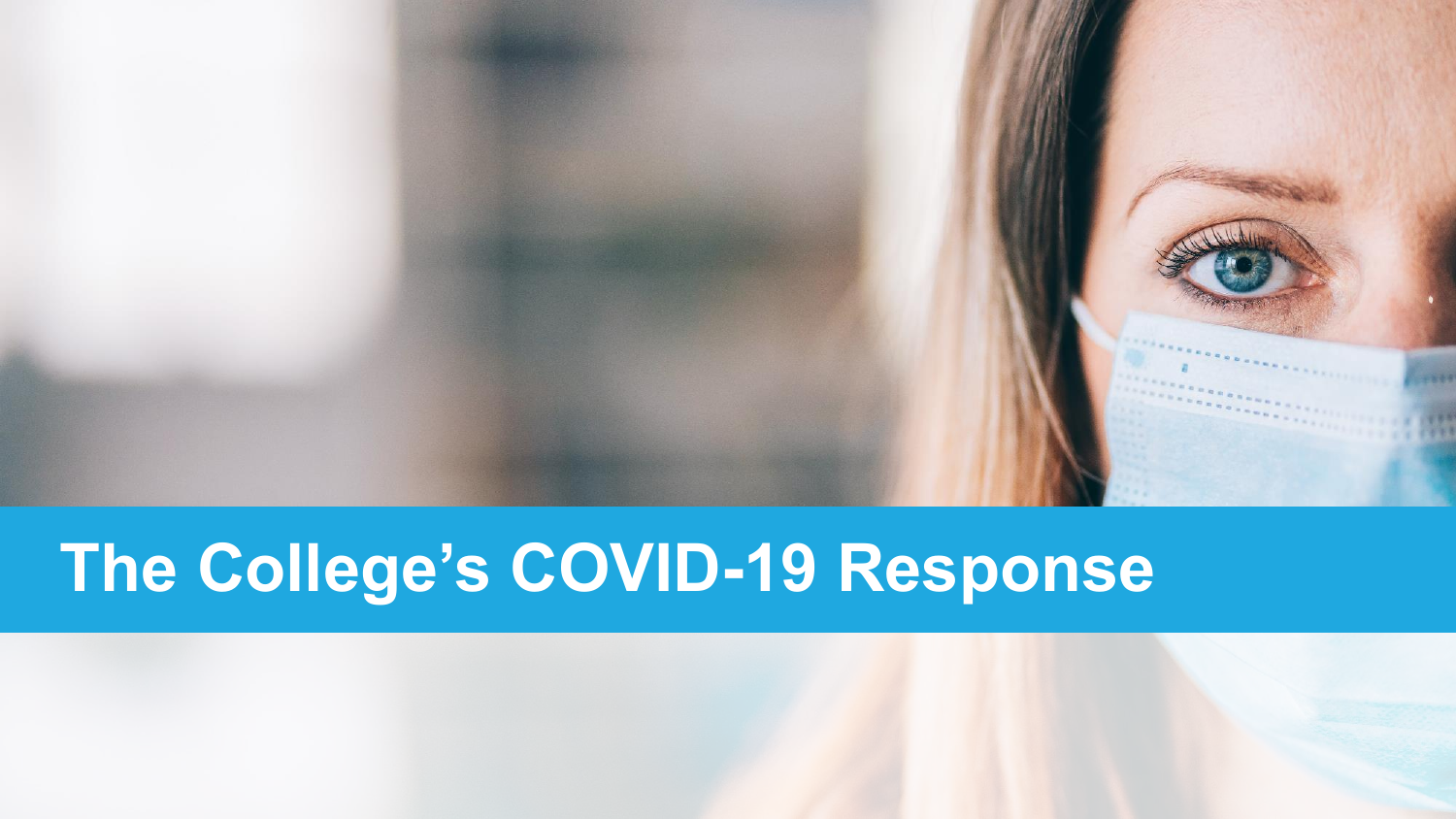

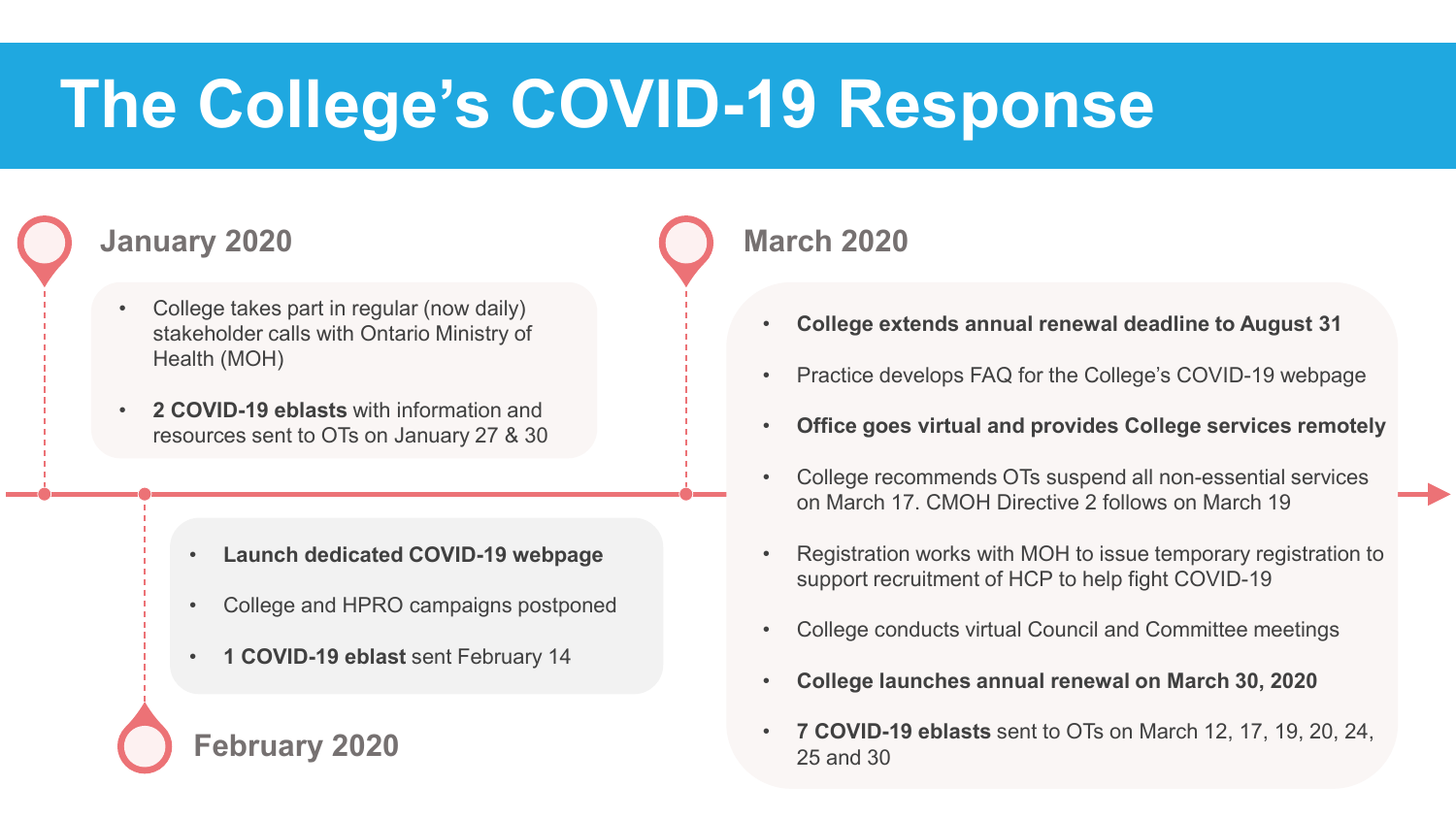#### **January 2020**

- College takes part in regular (now daily) stakeholder calls with Ontario Ministry of Health (MOH)
- **2 COVID-19 eblasts** with information and resources sent to OTs on January 27 & 30

- **Launch dedicated COVID-19 webpage**
- College and HPRO campaigns postponed
- **1 COVID-19 eblast** sent February 14

#### **February 2020**

#### **March 2020**

- **College extends annual renewal deadline to August 31**
- Practice develops FAQ for the College's COVID-19 webpage
- **Office goes virtual and provides College services remotely**
- College recommends OTs suspend all non-essential services on March 17. CMOH Directive 2 follows on March 19
- Registration works with MOH to issue temporary registration to support recruitment of HCP to help fight COVID-19
- College conducts virtual Council and Committee meetings
- **College launches annual renewal on March 30, 2020**
- **7 COVID-19 eblasts** sent to OTs on March 12, 17, 19, 20, 24, 25 and 30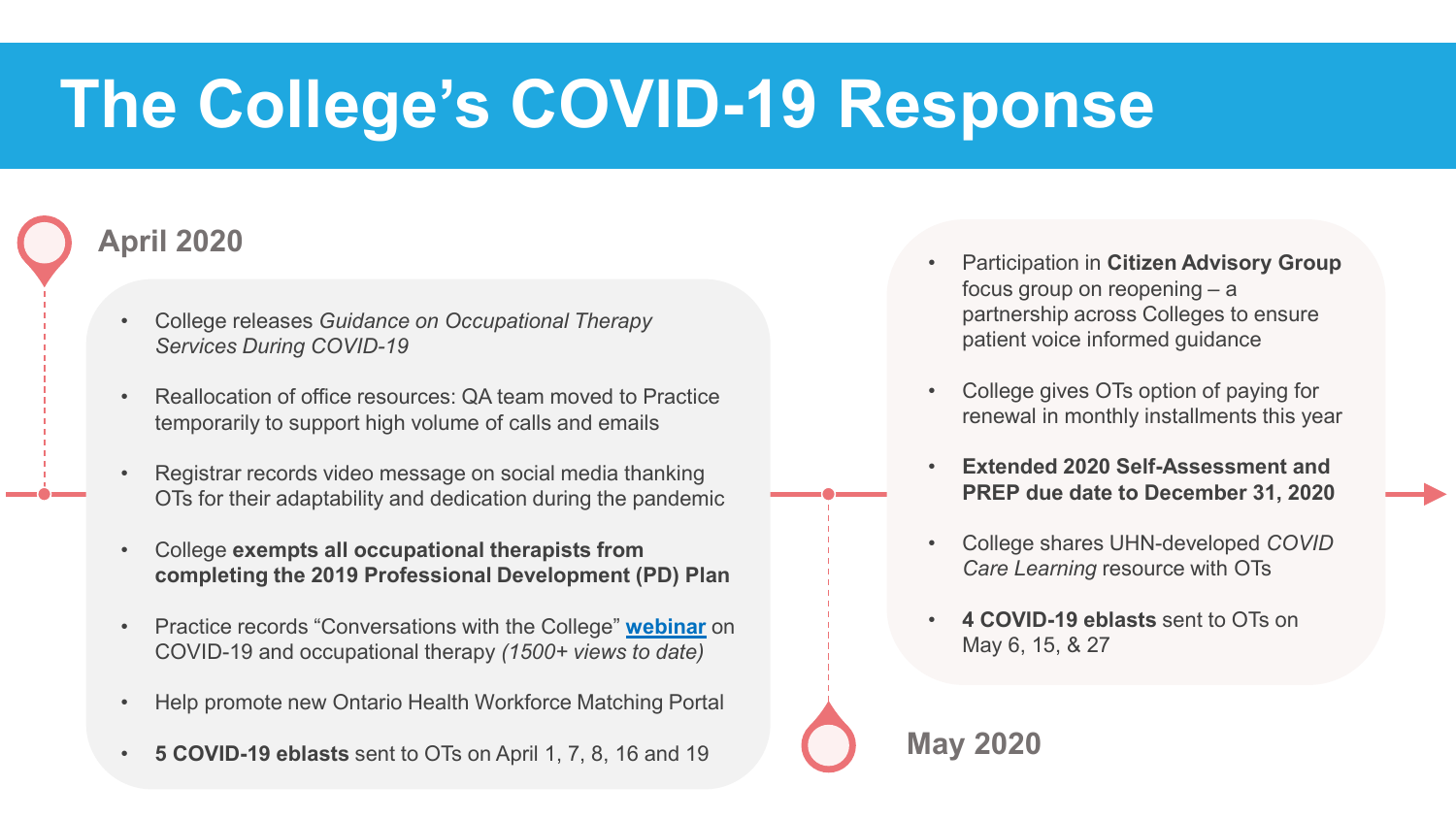#### **April 2020**

- College releases *Guidance on Occupational Therapy Services During COVID-19*
- Reallocation of office resources: QA team moved to Practice temporarily to support high volume of calls and emails
- Registrar records video message on social media thanking OTs for their adaptability and dedication during the pandemic
- College **exempts all occupational therapists from completing the 2019 Professional Development (PD) Plan**
- Practice records "Conversations with the College" **[webinar](https://www.youtube.com/watch?v=9zr6yFgp2w8)** on COVID-19 and occupational therapy *(1500+ views to date)*
- Help promote new Ontario Health Workforce Matching Portal
- **5 COVID-19 eblasts** sent to OTs on April 1, 7, 8, 16 and 19
- Participation in **Citizen Advisory Group**  focus group on reopening – a partnership across Colleges to ensure patient voice informed guidance
- College gives OTs option of paying for renewal in monthly installments this year
- **Extended 2020 Self-Assessment and PREP due date to December 31, 2020**
- College shares UHN-developed *COVID Care Learning* resource with OTs
- **4 COVID-19 eblasts** sent to OTs on May 6, 15, & 27

**May 2020**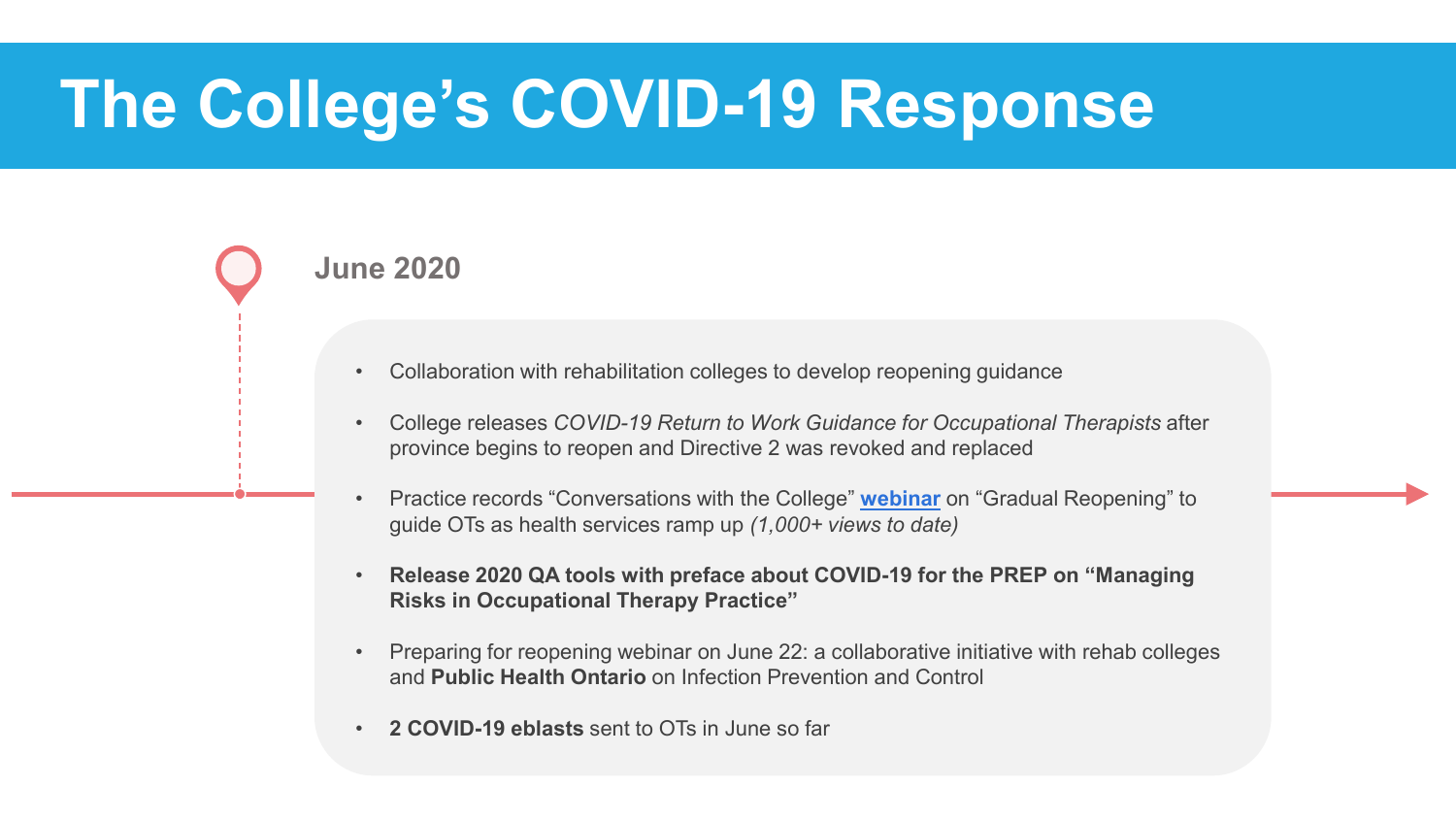#### **June 2020**

- Collaboration with rehabilitation colleges to develop reopening guidance
- College releases *COVID-19 Return to Work Guidance for Occupational Therapists* after province begins to reopen and Directive 2 was revoked and replaced
- Practice records "Conversations with the College" **[webinar](https://www.youtube.com/watch?v=VNs3WuxsjsI)** on "Gradual Reopening" to guide OTs as health services ramp up *(1,000+ views to date)*
- **Release 2020 QA tools with preface about COVID-19 for the PREP on "Managing Risks in Occupational Therapy Practice"**
- Preparing for reopening webinar on June 22: a collaborative initiative with rehab colleges and **Public Health Ontario** on Infection Prevention and Control
- **2 COVID-19 eblasts** sent to OTs in June so far